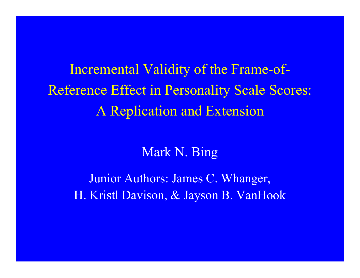Incremental Validity of the Frame-of-Reference Effect in Personality Scale Scores: A Replication and Extension

### Mark N. Bing

Junior Authors: James C. Whanger, H. Kristl Davison, & Jayson B. VanHook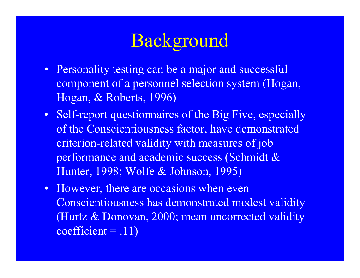- Personality testing can be a major and successful component of a personnel selection system (Hogan, Hogan, & Roberts, 1996)
- Self-report questionnaires of the Big Five, especially of the Conscientiousness factor, have demonstrated criterion-related validity with measures of job performance and academic success (Schmidt & Hunter, 1998; Wolfe & Johnson, 1995)
- However, there are occasions when even Conscientiousness has demonstrated modest validity (Hurtz & Donovan, 2000; mean uncorrected validity  $coefficient = .11)$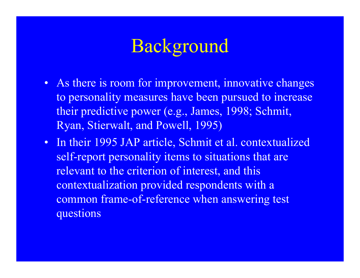- As there is room for improvement, innovative changes to personality measures have been pursued to increase their predictive power (e.g., James, 1998; Schmit, Ryan, Stierwalt, and Powell, 1995)
- In their 1995 JAP article, Schmit et al. contextualized self-report personality items to situations that are relevant to the criterion of interest, and this contextualization provided respondents with a common frame-of-reference when answering test questions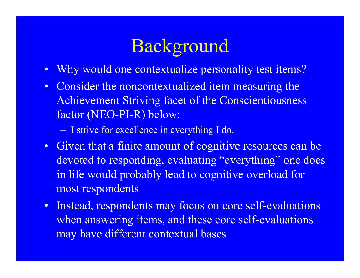- •Why would one contextualize personality test items?
- Consider the noncontextualized item measuring the Achievement Striving facet of the Conscientiousness factor (NEO-PI-R) below:

- I strive for excellence in everything I do.

- Given that a finite amount of cognitive resources can be devoted to responding, evaluating "everything" one does in life would probably lead to cognitive overload for most respondents
- • Instead, respondents may focus on core self-evaluations when answering items, and these core self-evaluations may have different contextual bases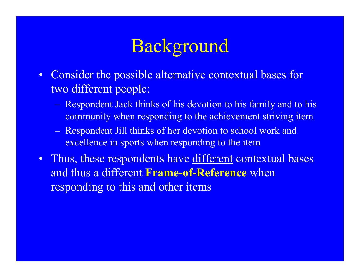- Consider the possible alternative contextual bases for two different people:
	- Respondent Jack thinks of his devotion to his family and to his community when responding to the achievement striving item
	- Respondent Jill thinks of her devotion to school work and excellence in sports when responding to the item
- Thus, these respondents have different contextual bases and thus a different **Frame-of-Reference** when responding to this and other items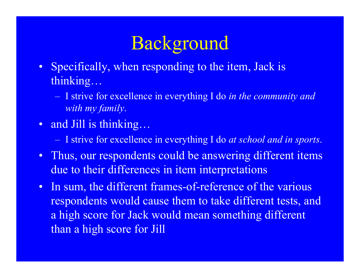- Specifically, when responding to the item, Jack is thinking…
	- I strive for excellence in everything I do *in the community and with my family*.
- and Jill is thinking...
	- I strive for excellence in everything I do *at school and in sports*.
- Thus, our respondents could be answering different items due to their differences in item interpretations
- •In sum, the different frames-of-reference of the various respondents would cause them to take different tests, and a high score for Jack would mean something different than a high score for Jill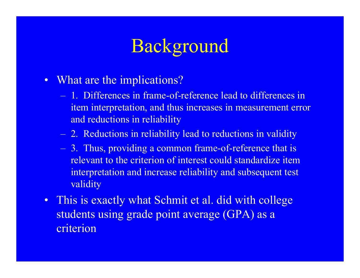- What are the implications?
	- 1. Differences in frame-of-reference lead to differences in item interpretation, and thus increases in measurement error and reductions in reliability
	- 2. Reductions in reliability lead to reductions in validity
	- 3. Thus, providing a common frame-of-reference that is relevant to the criterion of interest could standardize item interpretation and increase reliability and subsequent test validity
- This is exactly what Schmit et al. did with college students using grade point average (GPA) as a criterion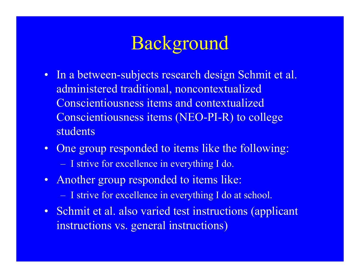- In a between-subjects research design Schmit et al. administered traditional, noncontextualized Conscientiousness items and contextualized Conscientiousness items (NEO-PI-R) to college students
- One group responded to items like the following:
	- I strive for excellence in everything I do.
- Another group responded to items like:
	- I strive for excellence in everything I do at school.
- Schmit et al. also varied test instructions (applicant instructions vs. general instructions)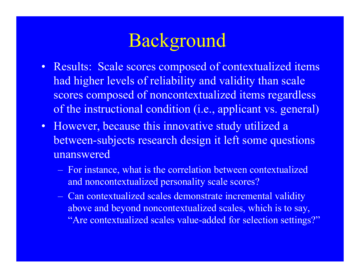

- Results: Scale scores composed of contextualized items had higher levels of reliability and validity than scale scores composed of noncontextualized items regardless of the instructional condition (i.e., applicant vs. general)
- However, because this innovative study utilized a between-subjects research design it left some questions unanswered
	- For instance, what is the correlation between contextualized and noncontextualized personality scale scores?
	- Can contextualized scales demonstrate incremental validity above and beyond noncontextualized scales, which is to say, "Are contextualized scales value-added for selection settings?"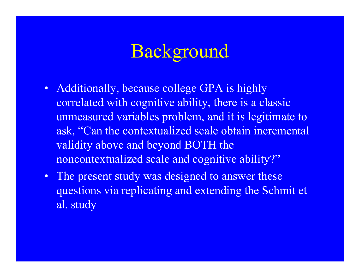- Additionally, because college GPA is highly correlated with cognitive ability, there is a classic unmeasured variables problem, and it is legitimate to ask, "Can the contextualized scale obtain incremental validity above and beyond BOTH the noncontextualized scale and cognitive ability?"
- $\bullet$ The present study was designed to answer these questions via replicating and extending the Schmit et al. study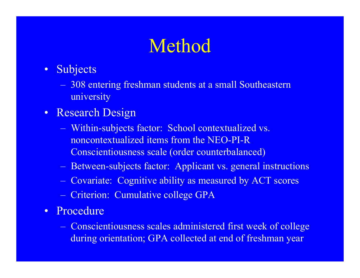# Method

- • Subjects
	- 308 entering freshman students at a small Southeastern university
- Research Design
	- Within-subjects factor: School contextualized vs. noncontextualized items from the NEO-PI-R Conscientiousness scale (order counterbalanced)
	- Between-subjects factor: Applicant vs. general instructions
	- Covariate: Cognitive ability as measured by ACT scores
	- Criterion: Cumulative college GPA
- Procedure
	- Conscientiousness scales administered first week of college during orientation; GPA collected at end of freshman year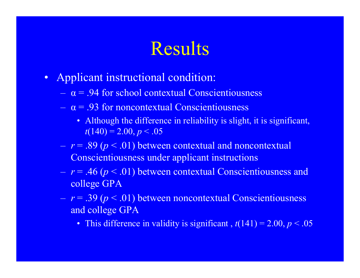# Results

- $\bullet$  Applicant instructional condition:
	- $-\alpha = .94$  for school contextual Conscientiousness
	- <sup>α</sup> = .93 for noncontextual Conscientiousness
		- Although the difference in reliability is slight, it is significant,  $t(140) = 2.00, p < .05$
	- *<sup>r</sup>*= .89 (*p* < .01) between contextual and noncontextual Conscientiousness under applicant instructions
	- *<sup>r</sup>*= .46 (*p* < .01) between contextual Conscientiousness and college GPA
	- *<sup>r</sup>*= .39 (*p* < .01) between noncontextual Conscientiousness and college GPA
		- This difference in validity is significant,  $t(141) = 2.00, p < .05$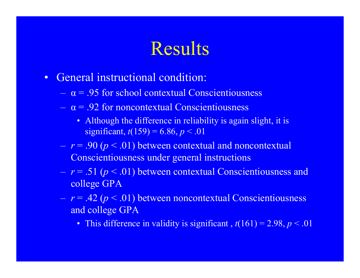# Results

- $\bullet$  General instructional condition:
	- $-\alpha = .95$  for school contextual Conscientiousness
	- <sup>α</sup> = .92 for noncontextual Conscientiousness
		- Although the difference in reliability is again slight, it is significant,  $t(159) = 6.86, p < .01$
	- *<sup>r</sup>*= .90 (*p* < .01) between contextual and noncontextual Conscientiousness under general instructions
	- *<sup>r</sup>*= .51 (*p* < .01) between contextual Conscientiousness and college GPA
	- *<sup>r</sup>*= .42 (*p* < .01) between noncontextual Conscientiousness and college GPA
		- This difference in validity is significant , *t*(161) = 2.98, *p* < .01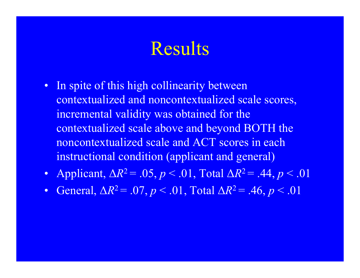### Results

- In spite of this high collinearity between contextualized and noncontextualized scale scores, incremental validity was obtained for the contextualized scale above and beyond BOTH the noncontextualized scale and ACT scores in each instructional condition (applicant and general)
- Applicant, ∆*R*2 = .05, *p* < .01, Total ∆*R*2 = .44, *p* < .01
- $\bullet$ General,  $\Delta R^2 = .07, p < .01, \text{Total } \Delta R^2 = .46, p < .01$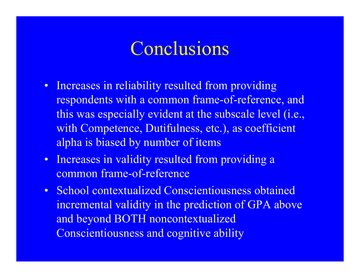### Conclusions

- Increases in reliability resulted from providing respondents with a common frame-of-reference, and this was especially evident at the subscale level (i.e., with Competence, Dutifulness, etc.), as coefficient alpha is biased by number of items
- Increases in validity resulted from providing a common frame-of-reference
- School contextualized Conscientiousness obtained incremental validity in the prediction of GPA above and beyond BOTH noncontextualized Conscientiousness and cognitive ability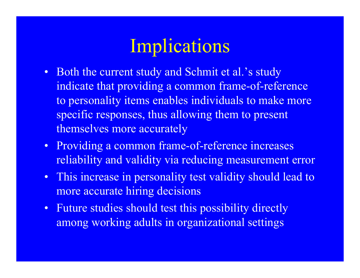### Implications

- Both the current study and Schmit et al.'s study indicate that providing a common frame-of-reference to personality items enables individuals to make more specific responses, thus allowing them to present themselves more accurately
- Providing a common frame-of-reference increases reliability and validity via reducing measurement error
- This increase in personality test validity should lead to more accurate hiring decisions
- Future studies should test this possibility directly among working adults in organizational settings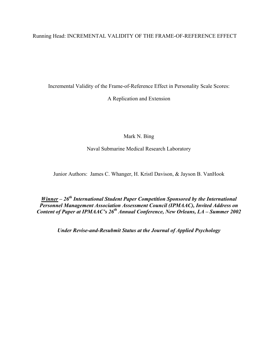Running Head: INCREMENTAL VALIDITY OF THE FRAME-OF-REFERENCE EFFECT

Incremental Validity of the Frame-of-Reference Effect in Personality Scale Scores:

A Replication and Extension

Mark N. Bing

Naval Submarine Medical Research Laboratory

Junior Authors: James C. Whanger, H. Kristl Davison, & Jayson B. VanHook

*<u>Winner</u> – 26<sup>th</sup> International Student Paper Competition Sponsored by the International Personnel Management Association Assessment Council (IPMAAC), Invited Address on Content of Paper at IPMAAC's 26th Annual Conference, New Orleans, LA – Summer 2002* 

*Under Revise-and-Resubmit Status at the Journal of Applied Psychology*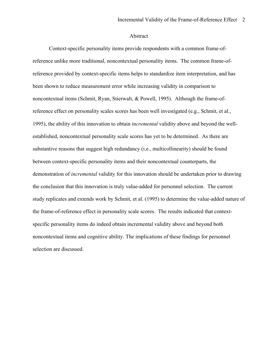#### Abstract

Context-specific personality items provide respondents with a common frame-ofreference unlike more traditional, noncontextual personality items. The common frame-ofreference provided by context-specific items helps to standardize item interpretation, and has been shown to reduce measurement error while increasing validity in comparison to noncontextual items (Schmit, Ryan, Stierwalt, & Powell, 1995). Although the frame-ofreference effect on personality scales scores has been well investigated (e.g., Schmit, et al., 1995), the ability of this innovation to obtain *incremental* validity above and beyond the wellestablished, noncontextual personality scale scores has yet to be determined. As there are substantive reasons that suggest high redundancy (i.e., multicollinearity) should be found between context-specific personality items and their noncontextual counterparts, the demonstration of *incremental* validity for this innovation should be undertaken prior to drawing the conclusion that this innovation is truly value-added for personnel selection. The current study replicates and extends work by Schmit, et al. (1995) to determine the value-added nature of the frame-of-reference effect in personality scale scores. The results indicated that contextspecific personality items do indeed obtain incremental validity above and beyond both noncontextual items and cognitive ability. The implications of these findings for personnel selection are discussed.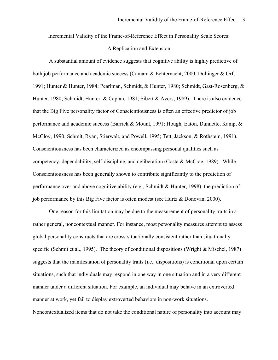Incremental Validity of the Frame-of-Reference Effect in Personality Scale Scores:

#### A Replication and Extension

A substantial amount of evidence suggests that cognitive ability is highly predictive of both job performance and academic success (Camara & Echternacht, 2000; Dollinger & Orf, 1991; Hunter & Hunter, 1984; Pearlman, Schmidt, & Hunter, 1980; Schmidt, Gast-Rosenberg, & Hunter, 1980; Schmidt, Hunter, & Caplan, 1981; Sibert & Ayers, 1989). There is also evidence that the Big Five personality factor of Conscientiousness is often an effective predictor of job performance and academic success (Barrick & Mount, 1991; Hough, Eaton, Dunnette, Kamp, & McCloy, 1990; Schmit, Ryan, Stierwalt, and Powell, 1995; Tett, Jackson, & Rothstein, 1991). Conscientiousness has been characterized as encompassing personal qualities such as competency, dependability, self-discipline, and deliberation (Costa & McCrae, 1989). While Conscientiousness has been generally shown to contribute significantly to the prediction of performance over and above cognitive ability (e.g., Schmidt & Hunter, 1998), the prediction of job performance by this Big Five factor is often modest (see Hurtz & Donovan, 2000).

One reason for this limitation may be due to the measurement of personality traits in a rather general, noncontextual manner. For instance, most personality measures attempt to assess global personality constructs that are cross-situationally consistent rather than situationallyspecific (Schmit et al., 1995). The theory of conditional dispositions (Wright & Mischel, 1987) suggests that the manifestation of personality traits (i.e., dispositions) is conditional upon certain situations, such that individuals may respond in one way in one situation and in a very different manner under a different situation. For example, an individual may behave in an extroverted manner at work, yet fail to display extroverted behaviors in non-work situations. Noncontextualized items that do not take the conditional nature of personality into account may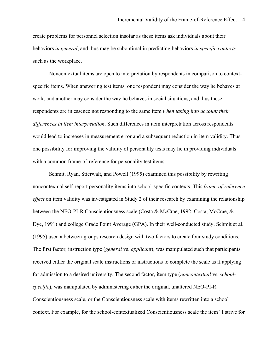create problems for personnel selection insofar as these items ask individuals about their behaviors *in general*, and thus may be suboptimal in predicting behaviors *in specific contexts,*  such as the workplace.

Noncontextual items are open to interpretation by respondents in comparison to contextspecific items. When answering test items, one respondent may consider the way he behaves at work, and another may consider the way he behaves in social situations, and thus these respondents are in essence not responding to the same item *when taking into account their differences in item interpretation*. Such differences in item interpretation across respondents would lead to increases in measurement error and a subsequent reduction in item validity. Thus, one possibility for improving the validity of personality tests may lie in providing individuals with a common frame-of-reference for personality test items.

Schmit, Ryan, Stierwalt, and Powell (1995) examined this possibility by rewriting noncontextual self-report personality items into school-specific contexts. This *frame-of-reference effect* on item validity was investigated in Study 2 of their research by examining the relationship between the NEO-PI-R Conscientiousness scale (Costa & McCrae, 1992; Costa, McCrae, & Dye, 1991) and college Grade Point Average (GPA). In their well-conducted study, Schmit et al. (1995) used a between-groups research design with two factors to create four study conditions. The first factor, instruction type (*general* vs. *applicant*), was manipulated such that participants received either the original scale instructions or instructions to complete the scale as if applying for admission to a desired university. The second factor, item type (*noncontextual* vs. *schoolspecific*), was manipulated by administering either the original, unaltered NEO-PI-R Conscientiousness scale, or the Conscientiousness scale with items rewritten into a school context. For example, for the school-contextualized Conscientiousness scale the item "I strive for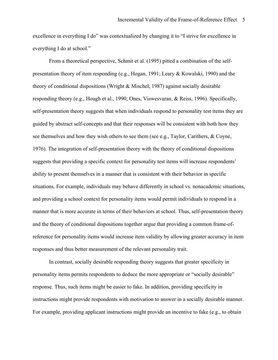excellence in everything I do" was contextualized by changing it to "I strive for excellence in everything I do at school."

From a theoretical perspective, Schmit et al. (1995) pitted a combination of the selfpresentation theory of item responding (e.g., Hogan, 1991; Leary & Kowalski, 1990) and the theory of conditional dispositions (Wright & Mischel, 1987) against socially desirable responding theory (e.g., Hough et al., 1990; Ones, Viswesvaran, & Reiss, 1996). Specifically, self-presentation theory suggests that when individuals respond to personality test items they are guided by abstract self-concepts and that their responses will be consistent with both how they see themselves and how they wish others to see them (see e.g., Taylor, Carithers, & Coyne, 1976). The integration of self-presentation theory with the theory of conditional dispositions suggests that providing a specific context for personality test items will increase respondents' ability to present themselves in a manner that is consistent with their behavior in specific situations. For example, individuals may behave differently in school vs. nonacademic situations, and providing a school context for personality items would permit individuals to respond in a manner that is more accurate in terms of their behaviors at school. Thus, self-presentation theory and the theory of conditional dispositions together argue that providing a common frame-ofreference for personality items would increase item validity by allowing greater accuracy in item responses and thus better measurement of the relevant personality trait.

In contrast, socially desirable responding theory suggests that greater specificity in personality items permits respondents to deduce the more appropriate or "socially desirable" response. Thus, such items might be easier to fake. In addition, providing specificity in instructions might provide respondents with motivation to answer in a socially desirable manner. For example, providing applicant instructions might provide an incentive to fake (e.g., to obtain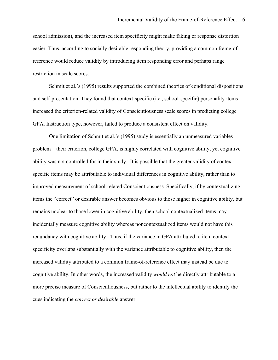school admission), and the increased item specificity might make faking or response distortion easier. Thus, according to socially desirable responding theory, providing a common frame-ofreference would reduce validity by introducing item responding error and perhaps range restriction in scale scores.

Schmit et al.'s (1995) results supported the combined theories of conditional dispositions and self-presentation. They found that context-specific (i.e., school-specific) personality items increased the criterion-related validity of Conscientiousness scale scores in predicting college GPA. Instruction type, however, failed to produce a consistent effect on validity.

One limitation of Schmit et al.'s (1995) study is essentially an unmeasured variables problem—their criterion, college GPA, is highly correlated with cognitive ability, yet cognitive ability was not controlled for in their study. It is possible that the greater validity of contextspecific items may be attributable to individual differences in cognitive ability, rather than to improved measurement of school-related Conscientiousness. Specifically, if by contextualizing items the "correct" or desirable answer becomes obvious to those higher in cognitive ability, but remains unclear to those lower in cognitive ability, then school contextualized items may incidentally measure cognitive ability whereas noncontextualized items would not have this redundancy with cognitive ability. Thus, if the variance in GPA attributed to item contextspecificity overlaps substantially with the variance attributable to cognitive ability, then the increased validity attributed to a common frame-of-reference effect may instead be due to cognitive ability. In other words, the increased validity *would not* be directly attributable to a more precise measure of Conscientiousness, but rather to the intellectual ability to identify the cues indicating the *correct or desirable* answer.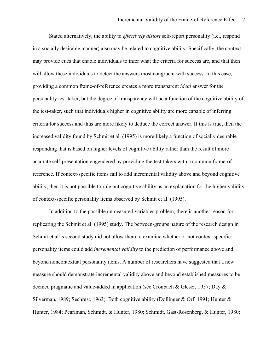Stated alternatively, the ability to *effectively distort* self-report personality (i.e., respond in a socially desirable manner) also may be related to cognitive ability. Specifically, the context may provide cues that enable individuals to infer what the criteria for success are, and that then will allow these individuals to detect the answers most congruent with success. In this case, providing a common frame-of-reference creates a more transparent *ideal* answer for the personality test-taker, but the degree of transparency will be a function of the cognitive ability of the test-taker, such that individuals higher in cognitive ability are more capable of inferring criteria for success and thus are more likely to deduce the correct answer. If this is true, then the increased validity found by Schmit et al. (1995) is more likely a function of socially desirable responding that is based on higher levels of cognitive ability rather than the result of more accurate self-presentation engendered by providing the test-takers with a common frame-ofreference. If context-specific items fail to add incremental validity above and beyond cognitive ability, then it is not possible to rule out cognitive ability as an explanation for the higher validity of context-specific personality items observed by Schmit et al. (1995).

 In addition to the possible unmeasured variables problem, there is another reason for replicating the Schmit et al. (1995) study. The between-groups nature of the research design in Schmit et al.'s second study did not allow them to examine whether or not context-specific personality items could add *incremental validity* to the prediction of performance above and beyond noncontextual personality items. A number of researchers have suggested that a new measure should demonstrate incremental validity above and beyond established measures to be deemed pragmatic and value-added in application (see Cronbach & Gleser, 1957; Day & Silverman, 1989; Sechrest, 1963). Both cognitive ability (Dollinger & Orf, 1991; Hunter & Hunter, 1984; Pearlman, Schmidt, & Hunter, 1980; Schmidt, Gast-Rosenberg, & Hunter, 1980;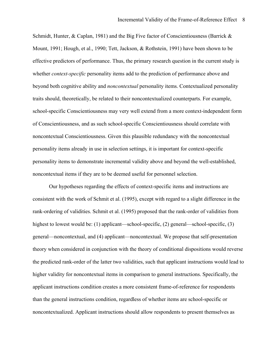Schmidt, Hunter,  $\&$  Caplan, 1981) and the Big Five factor of Conscientiousness (Barrick  $\&$ Mount, 1991; Hough, et al., 1990; Tett, Jackson, & Rothstein, 1991) have been shown to be effective predictors of performance. Thus, the primary research question in the current study is whether *context-specific* personality items add to the prediction of performance above and beyond both cognitive ability and *noncontextual* personality items. Contextualized personality traits should, theoretically, be related to their noncontextualized counterparts. For example, school-specific Conscientiousness may very well extend from a more context-independent form of Conscientiousness, and as such school-specific Conscientiousness should correlate with noncontextual Conscientiousness. Given this plausible redundancy with the noncontextual personality items already in use in selection settings, it is important for context-specific personality items to demonstrate incremental validity above and beyond the well-established, noncontextual items if they are to be deemed useful for personnel selection.

Our hypotheses regarding the effects of context-specific items and instructions are consistent with the work of Schmit et al. (1995), except with regard to a slight difference in the rank-ordering of validities. Schmit et al. (1995) proposed that the rank-order of validities from highest to lowest would be: (1) applicant—school-specific, (2) general—school-specific, (3) general—noncontextual, and (4) applicant—noncontextual. We propose that self-presentation theory when considered in conjunction with the theory of conditional dispositions would reverse the predicted rank-order of the latter two validities, such that applicant instructions would lead to higher validity for noncontextual items in comparison to general instructions. Specifically, the applicant instructions condition creates a more consistent frame-of-reference for respondents than the general instructions condition, regardless of whether items are school-specific or noncontextualized. Applicant instructions should allow respondents to present themselves as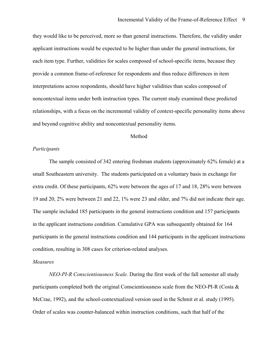they would like to be perceived, more so than general instructions. Therefore, the validity under applicant instructions would be expected to be higher than under the general instructions, for each item type. Further, validities for scales composed of school-specific items, because they provide a common frame-of-reference for respondents and thus reduce differences in item interpretations across respondents, should have higher validities than scales composed of noncontextual items under both instruction types. The current study examined these predicted relationships, with a focus on the incremental validity of context-specific personality items above and beyond cognitive ability and noncontextual personality items.

#### Method

#### *Participants*

The sample consisted of 342 entering freshman students (approximately 62% female) at a small Southeastern university. The students participated on a voluntary basis in exchange for extra credit. Of these participants, 62% were between the ages of 17 and 18, 28% were between 19 and 20, 2% were between 21 and 22, 1% were 23 and older, and 7% did not indicate their age. The sample included 185 participants in the general instructions condition and 157 participants in the applicant instructions condition. Cumulative GPA was subsequently obtained for 164 participants in the general instructions condition and 144 participants in the applicant instructions condition, resulting in 308 cases for criterion-related analyses.

#### *Measures*

*NEO-PI-R Conscientiousness Scale.* During the first week of the fall semester all study participants completed both the original Conscientiousness scale from the NEO-PI-R (Costa  $\&$ McCrae, 1992), and the school-contextualized version used in the Schmit et al. study (1995). Order of scales was counter-balanced within instruction conditions, such that half of the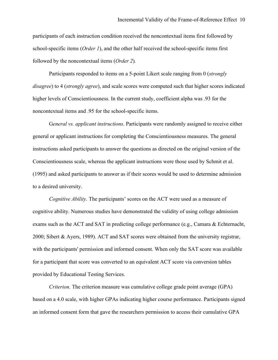participants of each instruction condition received the noncontextual items first followed by school-specific items (*Order 1*), and the other half received the school-specific items first followed by the noncontextual items (*Order 2*)*.*

Participants responded to items on a 5-point Likert scale ranging from 0 (*strongly disagree*) to 4 (*strongly agree*), and scale scores were computed such that higher scores indicated higher levels of Conscientiousness. In the current study, coefficient alpha was .93 for the noncontextual items and .95 for the school-specific items.

 G*eneral vs. applicant instructions*. Participants were randomly assigned to receive either general or applicant instructions for completing the Conscientiousness measures. The general instructions asked participants to answer the questions as directed on the original version of the Conscientiousness scale, whereas the applicant instructions were those used by Schmit et al. (1995) and asked participants to answer as if their scores would be used to determine admission to a desired university.

*Cognitive Ability.* The participants' scores on the ACT were used as a measure of cognitive ability. Numerous studies have demonstrated the validity of using college admission exams such as the ACT and SAT in predicting college performance (e.g., Camara & Echternacht, 2000; Sibert & Ayers, 1989). ACT and SAT scores were obtained from the university registrar, with the participants' permission and informed consent. When only the SAT score was available for a participant that score was converted to an equivalent ACT score via conversion tables provided by Educational Testing Services.

*Criterion.* The criterion measure was cumulative college grade point average (GPA) based on a 4.0 scale, with higher GPAs indicating higher course performance. Participants signed an informed consent form that gave the researchers permission to access their cumulative GPA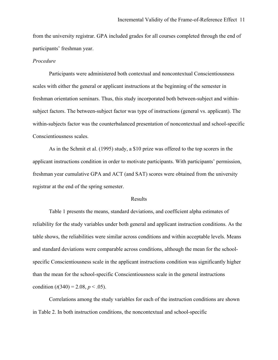from the university registrar. GPA included grades for all courses completed through the end of participants' freshman year.

#### *Procedure*

 Participants were administered both contextual and noncontextual Conscientiousness scales with either the general or applicant instructions at the beginning of the semester in freshman orientation seminars. Thus, this study incorporated both between-subject and withinsubject factors. The between-subject factor was type of instructions (general vs. applicant). The within-subjects factor was the counterbalanced presentation of noncontextual and school-specific Conscientiousness scales.

 As in the Schmit et al. (1995) study, a \$10 prize was offered to the top scorers in the applicant instructions condition in order to motivate participants. With participants' permission, freshman year cumulative GPA and ACT (and SAT) scores were obtained from the university registrar at the end of the spring semester.

#### Results

Table 1 presents the means, standard deviations, and coefficient alpha estimates of reliability for the study variables under both general and applicant instruction conditions. As the table shows, the reliabilities were similar across conditions and within acceptable levels. Means and standard deviations were comparable across conditions, although the mean for the schoolspecific Conscientiousness scale in the applicant instructions condition was significantly higher than the mean for the school-specific Conscientiousness scale in the general instructions condition  $(t(340) = 2.08, p < .05)$ .

Correlations among the study variables for each of the instruction conditions are shown in Table 2. In both instruction conditions, the noncontextual and school-specific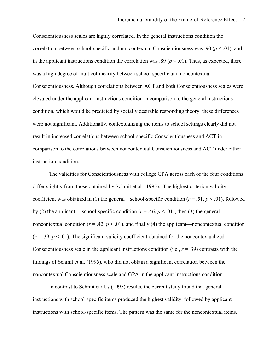Conscientiousness scales are highly correlated. In the general instructions condition the correlation between school-specific and noncontextual Conscientiousness was .90 (*p* < .01), and in the applicant instructions condition the correlation was .89 ( $p < .01$ ). Thus, as expected, there was a high degree of multicollinearity between school-specific and noncontextual Conscientiousness. Although correlations between ACT and both Conscientiousness scales were elevated under the applicant instructions condition in comparison to the general instructions condition, which would be predicted by socially desirable responding theory, these differences were not significant. Additionally, contextualizing the items to school settings clearly did not result in increased correlations between school-specific Conscientiousness and ACT in comparison to the correlations between noncontextual Conscientiousness and ACT under either instruction condition.

The validities for Conscientiousness with college GPA across each of the four conditions differ slightly from those obtained by Schmit et al. (1995). The highest criterion validity coefficient was obtained in (1) the general—school-specific condition ( $r = .51$ ,  $p < .01$ ), followed by (2) the applicant —school-specific condition ( $r = .46$ ,  $p < .01$ ), then (3) the general noncontextual condition ( $r = .42$ ,  $p < .01$ ), and finally (4) the applicant—noncontextual condition  $(r = .39, p < .01)$ . The significant validity coefficient obtained for the noncontextualized Conscientiousness scale in the applicant instructions condition (i.e.,  $r = .39$ ) contrasts with the findings of Schmit et al. (1995), who did not obtain a significant correlation between the noncontextual Conscientiousness scale and GPA in the applicant instructions condition.

In contrast to Schmit et al.'s (1995) results, the current study found that general instructions with school-specific items produced the highest validity, followed by applicant instructions with school-specific items. The pattern was the same for the noncontextual items.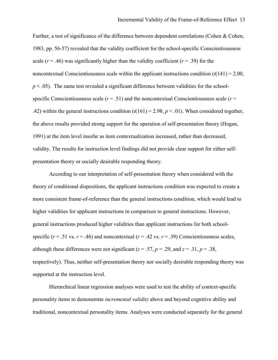Further, a test of significance of the difference between dependent correlations (Cohen & Cohen, 1983, pp. 56-57) revealed that the validity coefficient for the school-specific Conscientiousness scale  $(r = .46)$  was significantly higher than the validity coefficient  $(r = .39)$  for the noncontextual Conscientiousness scale within the applicant instructions condition  $(t(141) = 2.00,$  $p < .05$ ). The same test revealed a significant difference between validities for the schoolspecific Conscientiousness scale  $(r = .51)$  and the noncontextual Conscientiousness scale  $(r = .51)$ .42) within the general instructions condition  $(t(161) = 2.98, p < .01)$ . When considered together, the above results provided strong support for the operation of self-presentation theory (Hogan, 1991) at the item level insofar as item contextualization increased, rather than decreased, validity. The results for instruction level findings did not provide clear support for either selfpresentation theory or socially desirable responding theory.

According to our interpretation of self-presentation theory when considered with the theory of conditional dispositions, the applicant instructions condition was expected to create a more consistent frame-of-reference than the general instructions condition, which would lead to higher validities for applicant instructions in comparison to general instructions. However, general instructions produced higher validities than applicant instructions for both schoolspecific ( $r = .51$  vs.  $r = .46$ ) and noncontextual ( $r = .42$  vs.  $r = .39$ ) Conscientiousness scales, although these differences were not significant ( $z = .57$ ,  $p = .29$ , and  $z = .31$ ,  $p = .38$ , respectively). Thus, neither self-presentation theory nor socially desirable responding theory was supported at the instruction level.

Hierarchical linear regression analyses were used to test the ability of context-specific personality items to demonstrate *incremental validity* above and beyond cognitive ability and traditional, noncontextual personality items. Analyses were conducted separately for the general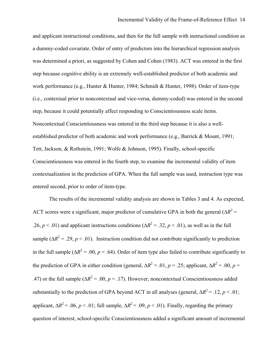and applicant instructional conditions, and then for the full sample with instructional condition as a dummy-coded covariate. Order of entry of predictors into the hierarchical regression analysis was determined a priori, as suggested by Cohen and Cohen (1983). ACT was entered in the first step because cognitive ability is an extremely well-established predictor of both academic and work performance (e.g., Hunter & Hunter, 1984; Schmidt & Hunter, 1998). Order of item-type (i.e., contextual prior to noncontextual and vice-versa, dummy-coded) was entered in the second step, because it could potentially affect responding to Conscientiousness scale items. Noncontextual Conscientiousness was entered in the third step because it is also a wellestablished predictor of both academic and work performance (e.g., Barrick & Mount, 1991; Tett, Jackson, & Rothstein, 1991; Wolfe & Johnson, 1995). Finally, school-specific Conscientiousness was entered in the fourth step, to examine the incremental validity of item contextualization in the prediction of GPA. When the full sample was used, instruction type was entered second, prior to order of item-type.

The results of the incremental validity analysis are shown in Tables 3 and 4. As expected, ACT scores were a significant, major predictor of cumulative GPA in both the general ( $\Delta R^2$  = .26,  $p < .01$ ) and applicant instructions conditions ( $\Delta R^2 = .32$ ,  $p < .01$ ), as well as in the full sample ( $\Delta R^2$  = .29, *p* < .01). Instruction condition did not contribute significantly to prediction in the full sample ( $\Delta R^2$  = .00, *p* = .64). Order of item type also failed to contribute significantly to the prediction of GPA in either condition (general,  $\Delta R^2 = .01$ , *p* = .25; applicant,  $\Delta R^2 = .00$ , *p* = .47) or the full sample ( $\Delta R^2$  = .00, *p* = .17). However, noncontextual Conscientiousness added substantially to the prediction of GPA beyond ACT in all analyses (general,  $\Delta R^2 = .12$ , *p* < .01; applicant,  $\Delta R^2$  = .06, *p* < .01; full sample,  $\Delta R^2$  = .09, *p* < .01). Finally, regarding the primary question of interest, school-specific Conscientiousness added a significant amount of incremental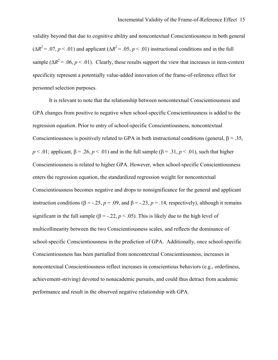validity beyond that due to cognitive ability and noncontextual Conscientiousness in both general  $(\Delta R^2 = .07, p < .01)$  and applicant  $(\Delta R^2 = .05, p < .01)$  instructional conditions and in the full sample ( $\Delta R^2$  = .06, *p* < .01). Clearly, these results support the view that increases in item-context specificity represent a potentially value-added innovation of the frame-of-reference effect for personnel selection purposes.

It is relevant to note that the relationship between noncontextual Conscientiousness and GPA changes from positive to negative when school-specific Conscientiousness is added to the regression equation. Prior to entry of school-specific Conscientiousness, noncontextual Conscientiousness is positively related to GPA in both instructional conditions (general,  $\beta = 0.35$ ,  $p < .01$ ; applicant,  $\beta = .26$ ,  $p < .01$ ) and in the full sample ( $\beta = .31$ ,  $p < .01$ ), such that higher Conscientiousness is related to higher GPA. However, when school-specific Conscientiousness enters the regression equation, the standardized regression weight for noncontextual Conscientiousness becomes negative and drops to nonsignificance for the general and applicant instruction conditions ( $\beta = -.25$ ,  $p = .09$ , and  $\beta = -.23$ ,  $p = .14$ , respectively), although it remains significant in the full sample ( $\beta$  = -.22,  $p < .05$ ). This is likely due to the high level of multicollinearity between the two Conscientiousness scales, and reflects the dominance of school-specific Conscientiousness in the prediction of GPA. Additionally, once school-specific Conscientiousness has been partialled from noncontextual Conscientiousness, increases in noncontextual Conscientiousness reflect increases in conscientious behaviors (e.g., orderliness, achievement-striving) devoted to nonacademic pursuits, and could thus detract from academic performance and result in the observed negative relationship with GPA.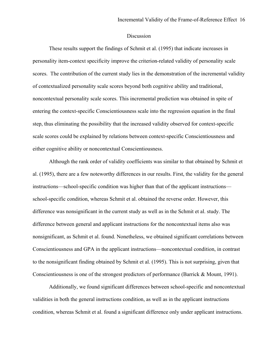#### Discussion

These results support the findings of Schmit et al. (1995) that indicate increases in personality item-context specificity improve the criterion-related validity of personality scale scores. The contribution of the current study lies in the demonstration of the incremental validity of contextualized personality scale scores beyond both cognitive ability and traditional, noncontextual personality scale scores. This incremental prediction was obtained in spite of entering the context-specific Conscientiousness scale into the regression equation in the final step, thus eliminating the possibility that the increased validity observed for context-specific scale scores could be explained by relations between context-specific Conscientiousness and either cognitive ability or noncontextual Conscientiousness.

Although the rank order of validity coefficients was similar to that obtained by Schmit et al. (1995), there are a few noteworthy differences in our results. First, the validity for the general instructions—school-specific condition was higher than that of the applicant instructions school-specific condition, whereas Schmit et al. obtained the reverse order. However, this difference was nonsignificant in the current study as well as in the Schmit et al. study. The difference between general and applicant instructions for the noncontextual items also was nonsignificant, as Schmit et al. found. Nonetheless, we obtained significant correlations between Conscientiousness and GPA in the applicant instructions—noncontextual condition, in contrast to the nonsignificant finding obtained by Schmit et al. (1995). This is not surprising, given that Conscientiousness is one of the strongest predictors of performance (Barrick & Mount, 1991).

Additionally, we found significant differences between school-specific and noncontextual validities in both the general instructions condition, as well as in the applicant instructions condition, whereas Schmit et al. found a significant difference only under applicant instructions.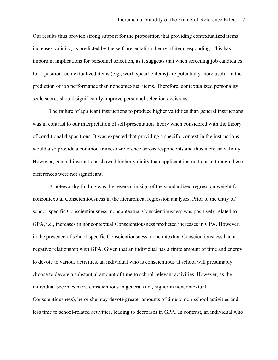Our results thus provide strong support for the proposition that providing contextualized items increases validity, as predicted by the self-presentation theory of item responding. This has important implications for personnel selection, as it suggests that when screening job candidates for a position, contextualized items (e.g., work-specific items) are potentially more useful in the prediction of job performance than noncontextual items. Therefore, contextualized personality scale scores should significantly improve personnel selection decisions.

The failure of applicant instructions to produce higher validities than general instructions was in contrast to our interpretation of self-presentation theory when considered with the theory of conditional dispositions. It was expected that providing a specific context in the instructions would also provide a common frame-of-reference across respondents and thus increase validity. However, general instructions showed higher validity than applicant instructions, although these differences were not significant.

A noteworthy finding was the reversal in sign of the standardized regression weight for noncontextual Conscientiousness in the hierarchical regression analyses. Prior to the entry of school-specific Conscientiousness, noncontextual Conscientiousness was positively related to GPA, i.e., increases in noncontextual Conscientiousness predicted increases in GPA. However, in the presence of school-specific Conscientiousness, noncontextual Conscientiousness had a negative relationship with GPA. Given that an individual has a finite amount of time and energy to devote to various activities, an individual who is conscientious at school will presumably choose to devote a substantial amount of time to school-relevant activities. However, as the individual becomes more conscientious in general (i.e., higher in noncontextual Conscientiousness), he or she may devote greater amounts of time to non-school activities and less time to school-related activities, leading to decreases in GPA. In contrast, an individual who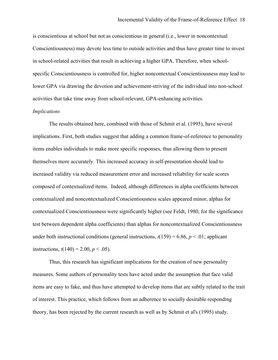is conscientious at school but not as conscientious in general (i.e., lower in noncontextual Conscientiousness) may devote less time to outside activities and thus have greater time to invest in school-related activities that result in achieving a higher GPA. Therefore, when schoolspecific Conscientiousness is controlled for, higher noncontextual Conscientiousness may lead to lower GPA via drawing the devotion and achievement-striving of the individual into non-school activities that take time away from school-relevant, GPA-enhancing activities.

#### *Implications*

The results obtained here, combined with those of Schmit et al. (1995), have several implications. First, both studies suggest that adding a common frame-of-reference to personality items enables individuals to make more specific responses, thus allowing them to present themselves more accurately. This increased accuracy in self-presentation should lead to increased validity via reduced measurement error and increased reliability for scale scores composed of contextualized items. Indeed, although differences in alpha coefficients between contextualized and noncontextualized Conscientiousness scales appeared minor, alphas for contextualized Conscientiousness were significantly higher (see Feldt, 1980, for the significance test between dependent alpha coefficients) than alphas for noncontextualized Conscientiousness under both instructional conditions (general instructions,  $t(159) = 6.86$ ,  $p < .01$ ; applicant instructions,  $t(140) = 2.00, p < .05$ .

Thus, this research has significant implications for the creation of new personality measures. Some authors of personality tests have acted under the assumption that face valid items are easy to fake, and thus have attempted to develop items that are subtly related to the trait of interest. This practice, which follows from an adherence to socially desirable responding theory, has been rejected by the current research as well as by Schmit et al's (1995) study.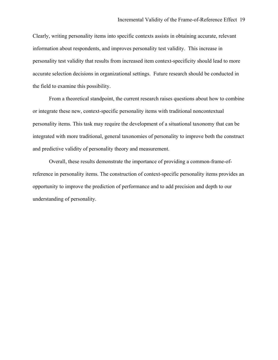Clearly, writing personality items into specific contexts assists in obtaining accurate, relevant information about respondents, and improves personality test validity. This increase in personality test validity that results from increased item context-specificity should lead to more accurate selection decisions in organizational settings. Future research should be conducted in the field to examine this possibility.

From a theoretical standpoint, the current research raises questions about how to combine or integrate these new, context-specific personality items with traditional noncontextual personality items. This task may require the development of a situational taxonomy that can be integrated with more traditional, general taxonomies of personality to improve both the construct and predictive validity of personality theory and measurement.

Overall, these results demonstrate the importance of providing a common-frame-ofreference in personality items. The construction of context-specific personality items provides an opportunity to improve the prediction of performance and to add precision and depth to our understanding of personality.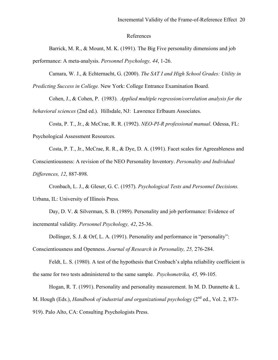#### References

Barrick, M. R., & Mount, M. K. (1991). The Big Five personality dimensions and job

performance: A meta-analysis. *Personnel Psychology, 44*, 1-26.

Camara, W. J., & Echternacht, G. (2000). *The SAT I and High School Grades: Utility in* 

*Predicting Success in College.* New York: College Entrance Examination Board.

 Cohen, J., & Cohen, P. (1983). *Applied multiple regression/correlation analysis for the behavioral sciences* (2nd ed.). Hillsdale, NJ: Lawrence Erlbaum Associates.

Costa, P. T., Jr., & McCrae, R. R. (1992). *NEO-PI-R professional manual*. Odessa, FL: Psychological Assessment Resources.

Costa, P. T., Jr., McCrae, R. R., & Dye, D. A. (1991). Facet scales for Agreeableness and Conscientiousness: A revision of the NEO Personality Inventory. *Personality and Individual Differences, 12*, 887-898.

Cronbach, L. J., & Gleser, G. C. (1957). *Psychological Tests and Personnel Decisions.* Urbana, IL: University of Illinois Press.

Day, D. V. & Silverman, S. B. (1989). Personality and job performance: Evidence of incremental validity. *Personnel Psychology, 42*, 25-36.

Dollinger, S. J. & Orf, L. A. (1991). Personality and performance in "personality":

Conscientiousness and Openness. *Journal of Research in Personality, 25,* 276-284.

Feldt, L. S. (1980). A test of the hypothesis that Cronbach's alpha reliability coefficient is the same for two tests administered to the same sample. *Psychometrika, 45,* 99-105.

Hogan, R. T. (1991). Personality and personality measurement. In M. D. Dunnette & L. M. Hough (Eds.), *Handbook of industrial and organizational psychology* (2<sup>nd</sup> ed., Vol. 2, 873-919). Palo Alto, CA: Consulting Psychologists Press.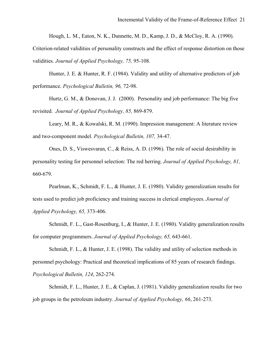Hough, L. M., Eaton, N. K., Dunnette, M. D., Kamp, J. D., & McCloy, R. A. (1990).

Criterion-related validities of personality constructs and the effect of response distortion on those validities. *Journal of Applied Psychology, 75,* 95-108.

Hunter, J. E. & Hunter, R. F. (1984). Validity and utility of alternative predictors of job performance. *Psychological Bulletin, 96,* 72-98.

 Hurtz, G. M., & Donovan, J. J. (2000). Personality and job performance: The big five revisited. *Journal of Applied Psychology, 85,* 869-879.

 Leary, M. R., & Kowalski, R. M. (1990). Impression management: A literature review and two-component model. *Psychological Bulletin, 107,* 34-47.

Ones, D. S., Viswesvaran, C., & Reiss, A. D. (1996). The role of social desirability in personality testing for personnel selection: The red herring. *Journal of Applied Psychology, 81,* 660-679.

Pearlman, K., Schmidt, F. L., & Hunter, J. E. (1980). Validity generalization results for tests used to predict job proficiency and training success in clerical employees. *Journal of Applied Psychology, 65,* 373-406.

Schmidt, F. L., Gast-Rosenburg, I., & Hunter, J. E. (1980). Validity generalization results for computer programmers. *Journal of Applied Psychology, 65,* 643-661.

Schmidt, F. L., & Hunter, J. E. (1998). The validity and utility of selection methods in personnel psychology: Practical and theoretical implications of 85 years of research findings. *Psychological Bulletin, 124*, 262-274.

Schmidt, F. L., Hunter, J. E., & Caplan, J. (1981). Validity generalization results for two job groups in the petroleum industry. *Journal of Applied Psychology, 66*, 261-273.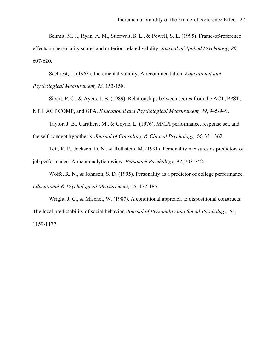Schmit, M. J., Ryan, A. M., Stierwalt, S. L., & Powell, S. L. (1995). Frame-of-reference effects on personality scores and criterion-related validity. *Journal of Applied Psychology, 80,* 607-620.

Sechrest, L. (1963). Incremental validity: A recommendation. *Educational and* 

*Psychological Measurement, 23,* 153-158.

Sibert, P. C., & Ayers, J. B. (1989). Relationships between scores from the ACT, PPST,

NTE, ACT COMP, and GPA. *Educational and Psychological Measurement, 49*, 945-949.

Taylor, J. B., Carithers, M., & Coyne, L. (1976). MMPI performance, response set, and the self-concept hypothesis. *Journal of Consulting & Clinical Psychology, 44,* 351-362.

Tett, R. P., Jackson, D. N., & Rothstein, M. (1991) Personality measures as predictors of job performance: A meta-analytic review. *Personnel Psychology, 44*, 703-742.

Wolfe, R. N., & Johnson, S. D. (1995). Personality as a predictor of college performance. *Educational & Psychological Measurement, 55*, 177-185.

Wright, J. C., & Mischel, W. (1987). A conditional approach to dispositional constructs: The local predictability of social behavior. *Journal of Personality and Social Psychology, 53*, 1159-1177.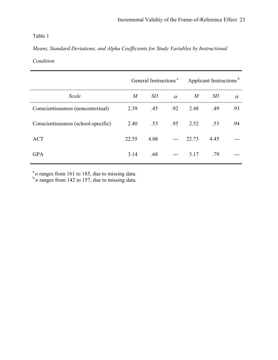### *Means, Standard Deviations, and Alpha Coefficients for Study Variables by Instructional*

#### *Condition*

|                                     | General Instructions <sup>a</sup> |      |          | Applicant Instructions <sup>b</sup> |           |          |
|-------------------------------------|-----------------------------------|------|----------|-------------------------------------|-----------|----------|
| Scale                               | $\boldsymbol{M}$                  | SD   | $\alpha$ | M                                   | <i>SD</i> | $\alpha$ |
| Conscientiousness (noncontextual)   | 2.39                              | .45  | .92      | 2.48                                | .49       | .93      |
| Conscientiousness (school-specific) | 2.40                              | .53  | .95      | 2.52                                | .53       | .94      |
| <b>ACT</b>                          | 22.55                             | 4.08 |          | 22.73                               | 4.45      |          |
| <b>GPA</b>                          | 3.14                              | .68  |          | 3.17                                | .79       |          |

 $\frac{a}{b}$  *n* ranges from 161 to 185, due to missing data.<br> $\frac{b}{n}$  ranges from 142 to 157, due to missing data.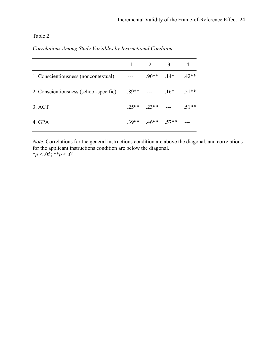|                                        |                          | $1 \quad 2 \quad 3$ |                                 |  |
|----------------------------------------|--------------------------|---------------------|---------------------------------|--|
| 1. Conscientiousness (noncontextual)   | $\sim$ $\sim$            |                     | $.90^{**}$ $.14^{*}$ $.42^{**}$ |  |
| 2. Conscientiousness (school-specific) | $.89**$ --- $.16*$ .51** |                     |                                 |  |
| 3. ACT                                 |                          |                     | $.25***$ $.23***$ --- $.51***$  |  |
| 4. GPA                                 |                          |                     | $.39**$ $.46**$ $.57**$ ---     |  |

*Note*. Correlations for the general instructions condition are above the diagonal, and correlations for the applicant instructions condition are below the diagonal.  $* p < .05; ** p < .01$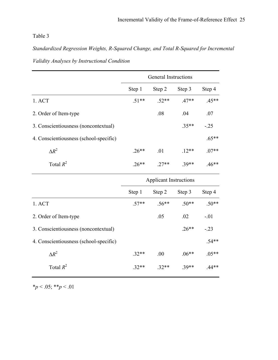*Standardized Regression Weights, R-Squared Change, and Total R-Squared for Incremental Validity Analyses by Instructional Condition* 

|                                        | <b>General Instructions</b>   |         |         |         |  |
|----------------------------------------|-------------------------------|---------|---------|---------|--|
|                                        | Step 1                        | Step 2  | Step 3  | Step 4  |  |
| 1. ACT                                 | $.51**$                       | $.52**$ | $.47**$ | $.45**$ |  |
| 2. Order of Item-type                  |                               | .08     | .04     | .07     |  |
| 3. Conscientiousness (noncontextual)   |                               |         | $.35**$ | $-.25$  |  |
| 4. Conscientiousness (school-specific) |                               |         |         | $.65**$ |  |
| $\Delta R^2$                           | $.26**$                       | .01     | $.12**$ | $.07**$ |  |
| Total $R^2$                            | $.26**$                       | $.27**$ | $.39**$ | $.46**$ |  |
|                                        | <b>Applicant Instructions</b> |         |         |         |  |
|                                        | Step 1                        | Step 2  | Step 3  | Step 4  |  |
| 1. ACT                                 | $.57**$                       | $.56**$ | $.50**$ | $.50**$ |  |
| 2. Order of Item-type                  |                               | .05     | .02     | $-.01$  |  |
| 3. Conscientiousness (noncontextual)   |                               |         | $.26**$ | $-23$   |  |
| 4. Conscientiousness (school-specific) |                               |         |         | $.54**$ |  |
| $\Delta R^2$                           | $.32**$                       | .00     | $.06**$ | $.05**$ |  |
| Total $R^2$                            | $.32**$                       | $.32**$ | $.39**$ | $.44**$ |  |

\**p* < .05; \*\**p* < .01